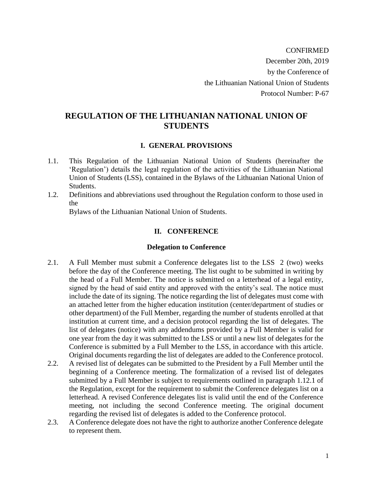CONFIRMED December 20th, 2019 by the Conference of the Lithuanian National Union of Students Protocol Number: P-67

# **REGULATION OF THE LITHUANIAN NATIONAL UNION OF STUDENTS**

#### **I. GENERAL PROVISIONS**

- 1.1. This Regulation of the Lithuanian National Union of Students (hereinafter the 'Regulation') details the legal regulation of the activities of the Lithuanian National Union of Students (LSS), contained in the Bylaws of the Lithuanian National Union of Students.
- 1.2. Definitions and abbreviations used throughout the Regulation conform to those used in the

Bylaws of the Lithuanian National Union of Students.

### **II. CONFERENCE**

#### **Delegation to Conference**

- 2.1. A Full Member must submit a Conference delegates list to the LSS 2 (two) weeks before the day of the Conference meeting. The list ought to be submitted in writing by the head of a Full Member. The notice is submitted on a letterhead of a legal entity, signed by the head of said entity and approved with the entity's seal. The notice must include the date of its signing. The notice regarding the list of delegates must come with an attached letter from the higher education institution (center/department of studies or other department) of the Full Member, regarding the number of students enrolled at that institution at current time, and a decision protocol regarding the list of delegates. The list of delegates (notice) with any addendums provided by a Full Member is valid for one year from the day it was submitted to the LSS or until a new list of delegates for the Conference is submitted by a Full Member to the LSS, in accordance with this article. Original documents regarding the list of delegates are added to the Conference protocol.
- 2.2. A revised list of delegates can be submitted to the President by a Full Member until the beginning of a Conference meeting. The formalization of a revised list of delegates submitted by a Full Member is subject to requirements outlined in paragraph 1.12.1 of the Regulation, except for the requirement to submit the Conference delegates list on a letterhead. A revised Conference delegates list is valid until the end of the Conference meeting, not including the second Conference meeting. The original document regarding the revised list of delegates is added to the Conference protocol.
- 2.3. A Conference delegate does not have the right to authorize another Conference delegate to represent them.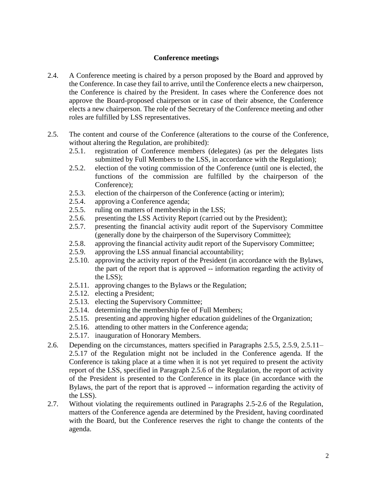#### **Conference meetings**

- 2.4. A Conference meeting is chaired by a person proposed by the Board and approved by the Conference. In case they fail to arrive, until the Conference elects a new chairperson, the Conference is chaired by the President. In cases where the Conference does not approve the Board-proposed chairperson or in case of their absence, the Conference elects a new chairperson. The role of the Secretary of the Conference meeting and other roles are fulfilled by LSS representatives.
- 2.5. The content and course of the Conference (alterations to the course of the Conference, without altering the Regulation, are prohibited):
	- 2.5.1. registration of Conference members (delegates) (as per the delegates lists submitted by Full Members to the LSS, in accordance with the Regulation);
	- 2.5.2. election of the voting commission of the Conference (until one is elected, the functions of the commission are fulfilled by the chairperson of the Conference);
	- 2.5.3. election of the chairperson of the Conference (acting or interim);
	- 2.5.4. approving a Conference agenda;
	- 2.5.5. ruling on matters of membership in the LSS;
	- 2.5.6. presenting the LSS Activity Report (carried out by the President);
	- 2.5.7. presenting the financial activity audit report of the Supervisory Committee (generally done by the chairperson of the Supervisory Committee);
	- 2.5.8. approving the financial activity audit report of the Supervisory Committee;
	- 2.5.9. approving the LSS annual financial accountability;
	- 2.5.10. approving the activity report of the President (in accordance with the Bylaws, the part of the report that is approved -- information regarding the activity of the LSS);
	- 2.5.11. approving changes to the Bylaws or the Regulation;
	- 2.5.12. electing a President;
	- 2.5.13. electing the Supervisory Committee;
	- 2.5.14. determining the membership fee of Full Members;
	- 2.5.15. presenting and approving higher education guidelines of the Organization;
	- 2.5.16. attending to other matters in the Conference agenda;
	- 2.5.17. inauguration of Honorary Members.
- 2.6. Depending on the circumstances, matters specified in Paragraphs 2.5.5, 2.5.9, 2.5.11– 2.5.17 of the Regulation might not be included in the Conference agenda. If the Conference is taking place at a time when it is not yet required to present the activity report of the LSS, specified in Paragraph 2.5.6 of the Regulation, the report of activity of the President is presented to the Conference in its place (in accordance with the Bylaws, the part of the report that is approved -- information regarding the activity of the LSS).
- 2.7. Without violating the requirements outlined in Paragraphs 2.5-2.6 of the Regulation, matters of the Conference agenda are determined by the President, having coordinated with the Board, but the Conference reserves the right to change the contents of the agenda.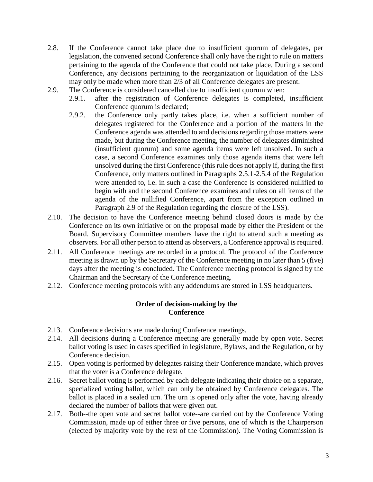- 2.8. If the Conference cannot take place due to insufficient quorum of delegates, per legislation, the convened second Conference shall only have the right to rule on matters pertaining to the agenda of the Conference that could not take place. During a second Conference, any decisions pertaining to the reorganization or liquidation of the LSS may only be made when more than 2/3 of all Conference delegates are present.
- 2.9. The Conference is considered cancelled due to insufficient quorum when:
	- 2.9.1. after the registration of Conference delegates is completed, insufficient Conference quorum is declared;
	- 2.9.2. the Conference only partly takes place, i.e. when a sufficient number of delegates registered for the Conference and a portion of the matters in the Conference agenda was attended to and decisions regarding those matters were made, but during the Conference meeting, the number of delegates diminished (insufficient quorum) and some agenda items were left unsolved. In such a case, a second Conference examines only those agenda items that were left unsolved during the first Conference (this rule does not apply if, during the first Conference, only matters outlined in Paragraphs 2.5.1-2.5.4 of the Regulation were attended to, i.e. in such a case the Conference is considered nullified to begin with and the second Conference examines and rules on all items of the agenda of the nullified Conference, apart from the exception outlined in Paragraph 2.9 of the Regulation regarding the closure of the LSS).
- 2.10. The decision to have the Conference meeting behind closed doors is made by the Conference on its own initiative or on the proposal made by either the President or the Board. Supervisory Committee members have the right to attend such a meeting as observers. For all other person to attend as observers, a Conference approval is required.
- 2.11. All Conference meetings are recorded in a protocol. The protocol of the Conference meeting is drawn up by the Secretary of the Conference meeting in no later than 5 (five) days after the meeting is concluded. The Conference meeting protocol is signed by the Chairman and the Secretary of the Conference meeting.
- 2.12. Conference meeting protocols with any addendums are stored in LSS headquarters.

### **Order of decision-making by the Conference**

- 2.13. Conference decisions are made during Conference meetings.
- 2.14. All decisions during a Conference meeting are generally made by open vote. Secret ballot voting is used in cases specified in legislature, Bylaws, and the Regulation, or by Conference decision.
- 2.15. Open voting is performed by delegates raising their Conference mandate, which proves that the voter is a Conference delegate.
- 2.16. Secret ballot voting is performed by each delegate indicating their choice on a separate, specialized voting ballot, which can only be obtained by Conference delegates. The ballot is placed in a sealed urn. The urn is opened only after the vote, having already declared the number of ballots that were given out.
- 2.17. Both--the open vote and secret ballot vote--are carried out by the Conference Voting Commission, made up of either three or five persons, one of which is the Chairperson (elected by majority vote by the rest of the Commission). The Voting Commission is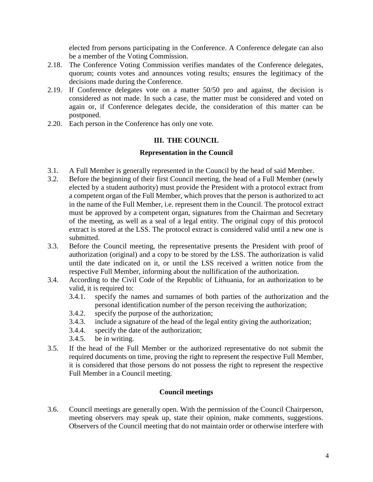elected from persons participating in the Conference. A Conference delegate can also be a member of the Voting Commission.

- 2.18. The Conference Voting Commission verifies mandates of the Conference delegates, quorum; counts votes and announces voting results; ensures the legitimacy of the decisions made during the Conference.
- 2.19. If Conference delegates vote on a matter 50/50 pro and against, the decision is considered as not made. In such a case, the matter must be considered and voted on again or, if Conference delegates decide, the consideration of this matter can be postponed.
- 2.20. Each person in the Conference has only one vote.

## **III. THE COUNCIL**

### **Representation in the Council**

- 3.1. A Full Member is generally represented in the Council by the head of said Member.
- 3.2. Before the beginning of their first Council meeting, the head of a Full Member (newly elected by a student authority) must provide the President with a protocol extract from a competent organ of the Full Member, which proves that the person is authorized to act in the name of the Full Member, i.e. represent them in the Council. The protocol extract must be approved by a competent organ, signatures from the Chairman and Secretary of the meeting, as well as a seal of a legal entity. The original copy of this protocol extract is stored at the LSS. The protocol extract is considered valid until a new one is submitted.
- 3.3. Before the Council meeting, the representative presents the President with proof of authorization (original) and a copy to be stored by the LSS. The authorization is valid until the date indicated on it, or until the LSS received a written notice from the respective Full Member, informing about the nullification of the authorization.
- 3.4. According to the Civil Code of the Republic of Lithuania, for an authorization to be valid, it is required to:
	- 3.4.1. specify the names and surnames of both parties of the authorization and the personal identification number of the person receiving the authorization;
	- 3.4.2. specify the purpose of the authorization;
	- 3.4.3. include a signature of the head of the legal entity giving the authorization;
	- 3.4.4. specify the date of the authorization;
	- 3.4.5. be in writing.
- 3.5. If the head of the Full Member or the authorized representative do not submit the required documents on time, proving the right to represent the respective Full Member, it is considered that those persons do not possess the right to represent the respective Full Member in a Council meeting.

## **Council meetings**

3.6. Council meetings are generally open. With the permission of the Council Chairperson, meeting observers may speak up, state their opinion, make comments, suggestions. Observers of the Council meeting that do not maintain order or otherwise interfere with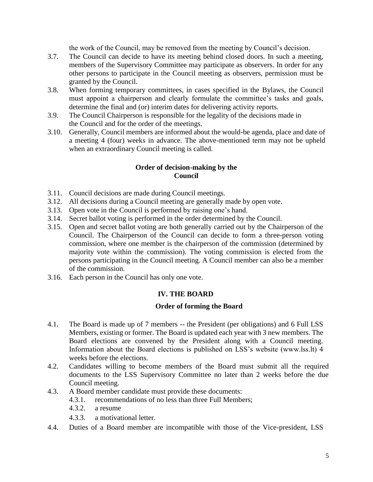the work of the Council, may be removed from the meeting by Council's decision.

- 3.7. The Council can decide to have its meeting behind closed doors. In such a meeting, members of the Supervisory Committee may participate as observers. In order for any other persons to participate in the Council meeting as observers, permission must be granted by the Council.
- 3.8. When forming temporary committees, in cases specified in the Bylaws, the Council must appoint a chairperson and clearly formulate the committee's tasks and goals, determine the final and (or) interim dates for delivering activity reports.
- 3.9. The Council Chairperson is responsible for the legality of the decisions made in the Council and for the order of the meetings.
- 3.10. Generally, Council members are informed about the would-be agenda, place and date of a meeting 4 (four) weeks in advance. The above-mentioned term may not be upheld when an extraordinary Council meeting is called.

#### **Order of decision-making by the Council**

- 3.11. Council decisions are made during Council meetings.
- 3.12. All decisions during a Council meeting are generally made by open vote.
- 3.13. Open vote in the Council is performed by raising one's hand.
- 3.14. Secret ballot voting is performed in the order determined by the Council.
- 3.15. Open and secret ballot voting are both generally carried out by the Chairperson of the Council. The Chairperson of the Council can decide to form a three-person voting commission, where one member is the chairperson of the commission (determined by majority vote within the commission). The voting commission is elected from the persons participating in the Council meeting. A Council member can also be a member of the commission.
- 3.16. Each person in the Council has only one vote.

## **IV. THE BOARD**

#### **Order of forming the Board**

- 4.1. The Board is made up of 7 members -- the President (per obligations) and 6 Full LSS Members, existing or former. The Board is updated each year with 3 new members. The Board elections are convened by the President along with a Council meeting. Information about the Board elections is published on LSS's website (www.lss.lt) 4 weeks before the elections.
- 4.2. Candidates willing to become members of the Board must submit all the required documents to the LSS Supervisory Committee no later than 2 weeks before the due Council meeting.
- 4.3. A Board member candidate must provide these documents:
	- 4.3.1. recommendations of no less than three Full Members;
	- 4.3.2. a resume
	- 4.3.3. a motivational letter.
- 4.4. Duties of a Board member are incompatible with those of the Vice-president, LSS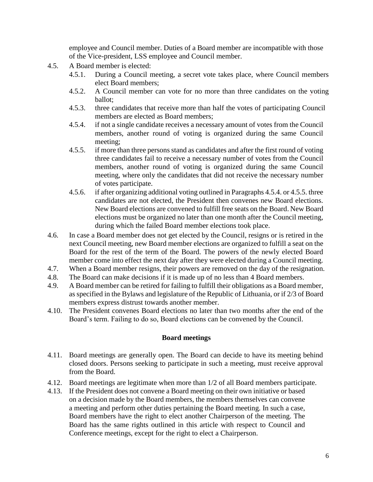employee and Council member. Duties of a Board member are incompatible with those of the Vice-president, LSS employee and Council member.

- 4.5. A Board member is elected:
	- 4.5.1. During a Council meeting, a secret vote takes place, where Council members elect Board members;
	- 4.5.2. A Council member can vote for no more than three candidates on the voting ballot;
	- 4.5.3. three candidates that receive more than half the votes of participating Council members are elected as Board members;
	- 4.5.4. if not a single candidate receives a necessary amount of votes from the Council members, another round of voting is organized during the same Council meeting;
	- 4.5.5. if more than three persons stand as candidates and after the first round of voting three candidates fail to receive a necessary number of votes from the Council members, another round of voting is organized during the same Council meeting, where only the candidates that did not receive the necessary number of votes participate.
	- 4.5.6. if after organizing additional voting outlined in Paragraphs 4.5.4. or 4.5.5. three candidates are not elected, the President then convenes new Board elections. New Board elections are convened to fulfill free seats on the Board. New Board elections must be organized no later than one month after the Council meeting, during which the failed Board member elections took place.
- 4.6. In case a Board member does not get elected by the Council, resigns or is retired in the next Council meeting, new Board member elections are organized to fulfill a seat on the Board for the rest of the term of the Board. The powers of the newly elected Board member come into effect the next day after they were elected during a Council meeting.
- 4.7. When a Board member resigns, their powers are removed on the day of the resignation.
- 4.8. The Board can make decisions if it is made up of no less than 4 Board members.
- 4.9. A Board member can be retired for failing to fulfill their obligations as a Board member, as specified in the Bylaws and legislature of the Republic of Lithuania, or if 2/3 of Board members express distrust towards another member.
- 4.10. The President convenes Board elections no later than two months after the end of the Board's term. Failing to do so, Board elections can be convened by the Council.

#### **Board meetings**

- 4.11. Board meetings are generally open. The Board can decide to have its meeting behind closed doors. Persons seeking to participate in such a meeting, must receive approval from the Board.
- 4.12. Board meetings are legitimate when more than 1/2 of all Board members participate.
- 4.13. If the President does not convene a Board meeting on their own initiative or based on a decision made by the Board members, the members themselves can convene a meeting and perform other duties pertaining the Board meeting. In such a case, Board members have the right to elect another Chairperson of the meeting. The Board has the same rights outlined in this article with respect to Council and Conference meetings, except for the right to elect a Chairperson.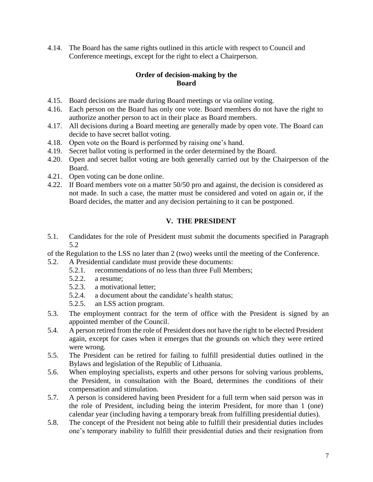4.14. The Board has the same rights outlined in this article with respect to Council and Conference meetings, except for the right to elect a Chairperson.

## **Order of decision-making by the Board**

- 4.15. Board decisions are made during Board meetings or via online voting.
- 4.16. Each person on the Board has only one vote. Board members do not have the right to authorize another person to act in their place as Board members.
- 4.17. All decisions during a Board meeting are generally made by open vote. The Board can decide to have secret ballot voting.
- 4.18. Open vote on the Board is performed by raising one's hand.
- 4.19. Secret ballot voting is performed in the order determined by the Board.
- 4.20. Open and secret ballot voting are both generally carried out by the Chairperson of the Board.
- 4.21. Open voting can be done online.
- 4.22. If Board members vote on a matter 50/50 pro and against, the decision is considered as not made. In such a case, the matter must be considered and voted on again or, if the Board decides, the matter and any decision pertaining to it can be postponed.

## **V. THE PRESIDENT**

5.1. Candidates for the role of President must submit the documents specified in Paragraph 5.2

of the Regulation to the LSS no later than 2 (two) weeks until the meeting of the Conference.

- 5.2. A Presidential candidate must provide these documents:
	- 5.2.1. recommendations of no less than three Full Members;
	- 5.2.2. a resume;
	- 5.2.3. a motivational letter;
	- 5.2.4. a document about the candidate's health status;
	- 5.2.5. an LSS action program.
- 5.3. The employment contract for the term of office with the President is signed by an appointed member of the Council.
- 5.4. A person retired from the role of President does not have the right to be elected President again, except for cases when it emerges that the grounds on which they were retired were wrong.
- 5.5. The President can be retired for failing to fulfill presidential duties outlined in the Bylaws and legislation of the Republic of Lithuania.
- 5.6. When employing specialists, experts and other persons for solving various problems, the President, in consultation with the Board, determines the conditions of their compensation and stimulation.
- 5.7. A person is considered having been President for a full term when said person was in the role of President, including being the interim President, for more than 1 (one) calendar year (including having a temporary break from fulfilling presidential duties).
- 5.8. The concept of the President not being able to fulfill their presidential duties includes one's temporary inability to fulfill their presidential duties and their resignation from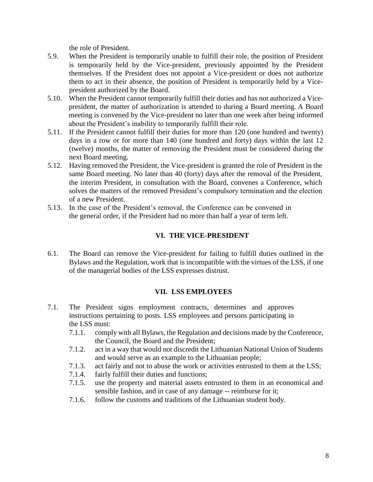the role of President.

- 5.9. When the President is temporarily unable to fulfill their role, the position of President is temporarily held by the Vice-president, previously appointed by the President themselves. If the President does not appoint a Vice-president or does not authorize them to act in their absence, the position of President is temporarily held by a Vicepresident authorized by the Board.
- 5.10. When the President cannot temporarily fulfill their duties and has not authorized a Vicepresident, the matter of authorization is attended to during a Board meeting. A Board meeting is convened by the Vice-president no later than one week after being informed about the President's inability to temporarily fulfill their role.
- 5.11. If the President cannot fulfill their duties for more than 120 (one hundred and twenty) days in a row or for more than 140 (one hundred and forty) days within the last 12 (twelve) months, the matter of removing the President must be considered during the next Board meeting.
- 5.12. Having removed the President, the Vice-president is granted the role of President in the same Board meeting. No later than 40 (forty) days after the removal of the President, the interim President, in consultation with the Board, convenes a Conference, which solves the matters of the removed President's compulsory termination and the election of a new President.
- 5.13. In the case of the President's removal, the Conference can be convened in the general order, if the President had no more than half a year of term left.

## **VI. THE VICE-PRESIDENT**

6.1. The Board can remove the Vice-president for failing to fulfill duties outlined in the Bylaws and the Regulation, work that is incompatible with the virtues of the LSS, if one of the managerial bodies of the LSS expresses distrust.

## **VII. LSS EMPLOYEES**

- 7.1. The President signs employment contracts, determines and approves instructions pertaining to posts. LSS employees and persons participating in the LSS must:
	- 7.1.1. comply with all Bylaws, the Regulation and decisions made by the Conference, the Council, the Board and the President;
	- 7.1.2. act in a way that would not discredit the Lithuanian National Union of Students and would serve as an example to the Lithuanian people;
	- 7.1.3. act fairly and not to abuse the work or activities entrusted to them at the LSS;
	- 7.1.4. fairly fulfill their duties and functions;
	- 7.1.5. use the property and material assets entrusted to them in an economical and sensible fashion, and in case of any damage -- reimburse for it;
	- 7.1.6. follow the customs and traditions of the Lithuanian student body.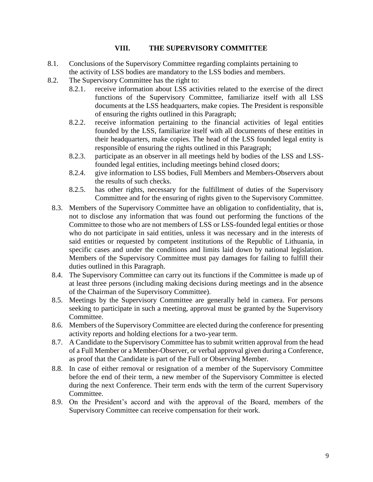#### **VIII. THE SUPERVISORY COMMITTEE**

- 8.1. Conclusions of the Supervisory Committee regarding complaints pertaining to the activity of LSS bodies are mandatory to the LSS bodies and members.
- 8.2. The Supervisory Committee has the right to:
	- 8.2.1. receive information about LSS activities related to the exercise of the direct functions of the Supervisory Committee, familiarize itself with all LSS documents at the LSS headquarters, make copies. The President is responsible of ensuring the rights outlined in this Paragraph;
	- 8.2.2. receive information pertaining to the financial activities of legal entities founded by the LSS, familiarize itself with all documents of these entities in their headquarters, make copies. The head of the LSS founded legal entity is responsible of ensuring the rights outlined in this Paragraph;
	- 8.2.3. participate as an observer in all meetings held by bodies of the LSS and LSSfounded legal entities, including meetings behind closed doors;
	- 8.2.4. give information to LSS bodies, Full Members and Members-Observers about the results of such checks.
	- 8.2.5. has other rights, necessary for the fulfillment of duties of the Supervisory Committee and for the ensuring of rights given to the Supervisory Committee.
	- 8.3. Members of the Supervisory Committee have an obligation to confidentiality, that is, not to disclose any information that was found out performing the functions of the Committee to those who are not members of LSS or LSS-founded legal entities or those who do not participate in said entities, unless it was necessary and in the interests of said entities or requested by competent institutions of the Republic of Lithuania, in specific cases and under the conditions and limits laid down by national legislation. Members of the Supervisory Committee must pay damages for failing to fulfill their duties outlined in this Paragraph.
	- 8.4. The Supervisory Committee can carry out its functions if the Committee is made up of at least three persons (including making decisions during meetings and in the absence of the Chairman of the Supervisory Committee).
	- 8.5. Meetings by the Supervisory Committee are generally held in camera. For persons seeking to participate in such a meeting, approval must be granted by the Supervisory Committee.
	- 8.6. Members of the Supervisory Committee are elected during the conference for presenting activity reports and holding elections for a two-year term.
	- 8.7. A Candidate to the Supervisory Committee has to submit written approval from the head of a Full Member or a Member-Observer, or verbal approval given during a Conference, as proof that the Candidate is part of the Full or Observing Member.
	- 8.8. In case of either removal or resignation of a member of the Supervisory Committee before the end of their term, a new member of the Supervisory Committee is elected during the next Conference. Their term ends with the term of the current Supervisory Committee.
	- 8.9. On the President's accord and with the approval of the Board, members of the Supervisory Committee can receive compensation for their work.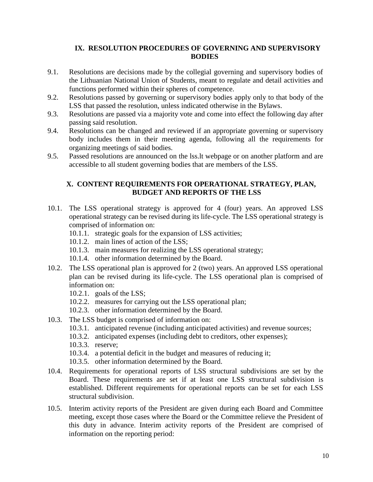## **IX. RESOLUTION PROCEDURES OF GOVERNING AND SUPERVISORY BODIES**

- 9.1. Resolutions are decisions made by the collegial governing and supervisory bodies of the Lithuanian National Union of Students, meant to regulate and detail activities and functions performed within their spheres of competence.
- 9.2. Resolutions passed by governing or supervisory bodies apply only to that body of the LSS that passed the resolution, unless indicated otherwise in the Bylaws.
- 9.3. Resolutions are passed via a majority vote and come into effect the following day after passing said resolution.
- 9.4. Resolutions can be changed and reviewed if an appropriate governing or supervisory body includes them in their meeting agenda, following all the requirements for organizing meetings of said bodies.
- 9.5. Passed resolutions are announced on the lss.lt webpage or on another platform and are accessible to all student governing bodies that are members of the LSS.

### **X. CONTENT REQUIREMENTS FOR OPERATIONAL STRATEGY, PLAN, BUDGET AND REPORTS OF THE LSS**

- 10.1. The LSS operational strategy is approved for 4 (four) years. An approved LSS operational strategy can be revised during its life-cycle. The LSS operational strategy is comprised of information on:
	- 10.1.1. strategic goals for the expansion of LSS activities;
	- 10.1.2. main lines of action of the LSS;
	- 10.1.3. main measures for realizing the LSS operational strategy;
	- 10.1.4. other information determined by the Board.
- 10.2. The LSS operational plan is approved for 2 (two) years. An approved LSS operational plan can be revised during its life-cycle. The LSS operational plan is comprised of information on:
	- 10.2.1. goals of the LSS;
	- 10.2.2. measures for carrying out the LSS operational plan;
	- 10.2.3. other information determined by the Board.
- 10.3. The LSS budget is comprised of information on:
	- 10.3.1. anticipated revenue (including anticipated activities) and revenue sources;
	- 10.3.2. anticipated expenses (including debt to creditors, other expenses);
	- 10.3.3. reserve;
	- 10.3.4. a potential deficit in the budget and measures of reducing it;
	- 10.3.5. other information determined by the Board.
- 10.4. Requirements for operational reports of LSS structural subdivisions are set by the Board. These requirements are set if at least one LSS structural subdivision is established. Different requirements for operational reports can be set for each LSS structural subdivision.
- 10.5. Interim activity reports of the President are given during each Board and Committee meeting, except those cases where the Board or the Committee relieve the President of this duty in advance. Interim activity reports of the President are comprised of information on the reporting period: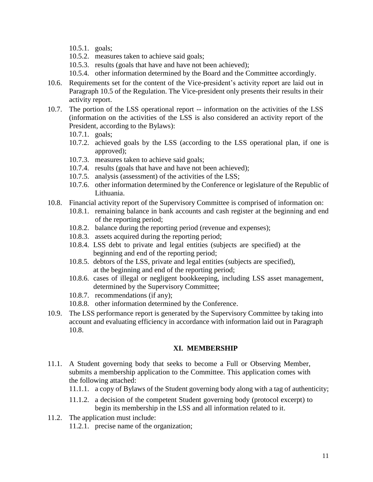- 10.5.1. goals;
- 10.5.2. measures taken to achieve said goals;
- 10.5.3. results (goals that have and have not been achieved);
- 10.5.4. other information determined by the Board and the Committee accordingly.
- 10.6. Requirements set for the content of the Vice-president's activity report are laid out in Paragraph 10.5 of the Regulation. The Vice-president only presents their results in their activity report.
- 10.7. The portion of the LSS operational report -- information on the activities of the LSS (information on the activities of the LSS is also considered an activity report of the President, according to the Bylaws):
	- 10.7.1. goals;
	- 10.7.2. achieved goals by the LSS (according to the LSS operational plan, if one is approved);
	- 10.7.3. measures taken to achieve said goals;
	- 10.7.4. results (goals that have and have not been achieved);
	- 10.7.5. analysis (assessment) of the activities of the LSS;
	- 10.7.6. other information determined by the Conference or legislature of the Republic of Lithuania.
- 10.8. Financial activity report of the Supervisory Committee is comprised of information on:
	- 10.8.1. remaining balance in bank accounts and cash register at the beginning and end of the reporting period;
	- 10.8.2. balance during the reporting period (revenue and expenses);
	- 10.8.3. assets acquired during the reporting period;
	- 10.8.4. LSS debt to private and legal entities (subjects are specified) at the beginning and end of the reporting period;
	- 10.8.5. debtors of the LSS, private and legal entities (subjects are specified), at the beginning and end of the reporting period;
	- 10.8.6. cases of illegal or negligent bookkeeping, including LSS asset management, determined by the Supervisory Committee;
	- 10.8.7. recommendations (if any);
	- 10.8.8. other information determined by the Conference.
- 10.9. The LSS performance report is generated by the Supervisory Committee by taking into account and evaluating efficiency in accordance with information laid out in Paragraph 10.8.

## **XI. MEMBERSHIP**

- 11.1. A Student governing body that seeks to become a Full or Observing Member, submits a membership application to the Committee. This application comes with the following attached:
	- 11.1.1. a copy of Bylaws of the Student governing body along with a tag of authenticity;
	- 11.1.2. a decision of the competent Student governing body (protocol excerpt) to begin its membership in the LSS and all information related to it.
- 11.2. The application must include: 11.2.1. precise name of the organization;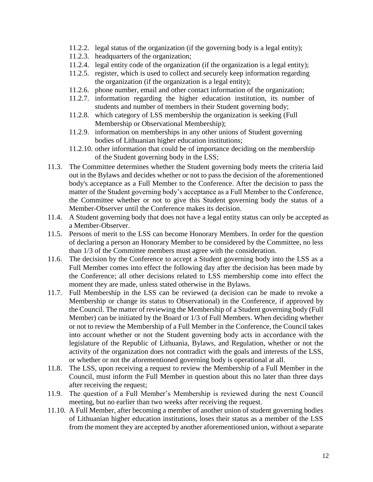- 11.2.2. legal status of the organization (if the governing body is a legal entity);
- 11.2.3. headquarters of the organization;
- 11.2.4. legal entity code of the organization (if the organization is a legal entity);
- 11.2.5. register, which is used to collect and securely keep information regarding the organization (if the organization is a legal entity);
- 11.2.6. phone number, email and other contact information of the organization;
- 11.2.7. information regarding the higher education institution, its number of students and number of members in their Student governing body;
- 11.2.8. which category of LSS membership the organization is seeking (Full Membership or Observational Membership);
- 11.2.9. information on memberships in any other unions of Student governing bodies of Lithuanian higher education institutions;
- 11.2.10. other information that could be of importance deciding on the membership of the Student governing body in the LSS;
- 11.3. The Committee determines whether the Student governing body meets the criteria laid out in the Bylaws and decides whether or not to pass the decision of the aforementioned body's acceptance as a Full Member to the Conference. After the decision to pass the matter of the Student governing body's acceptance as a Full Member to the Conference, the Committee whether or not to give this Student governing body the status of a Member-Observer until the Conference makes its decision.
- 11.4. A Student governing body that does not have a legal entity status can only be accepted as a Member-Observer.
- 11.5. Persons of merit to the LSS can become Honorary Members. In order for the question of declaring a person an Honorary Member to be considered by the Committee, no less than 1/3 of the Committee members must agree with the consideration.
- 11.6. The decision by the Conference to accept a Student governing body into the LSS as a Full Member comes into effect the following day after the decision has been made by the Conference; all other decisions related to LSS membership come into effect the moment they are made, unless stated otherwise in the Bylaws.
- 11.7. Full Membership in the LSS can be reviewed (a decision can be made to revoke a Membership or change its status to Observational) in the Conference, if approved by the Council. The matter of reviewing the Membership of a Student governing body (Full Member) can be initiated by the Board or 1/3 of Full Members. When deciding whether or not to review the Membership of a Full Member in the Conference, the Council takes into account whether or not the Student governing body acts in accordance with the legislature of the Republic of Lithuania, Bylaws, and Regulation, whether or not the activity of the organization does not contradict with the goals and interests of the LSS, or whether or not the aforementioned governing body is operational at all.
- 11.8. The LSS, upon receiving a request to review the Membership of a Full Member in the Council, must inform the Full Member in question about this no later than three days after receiving the request;
- 11.9. The question of a Full Member's Membership is reviewed during the next Council meeting, but no earlier than two weeks after receiving the request.
- 11.10. A Full Member, after becoming a member of another union of student governing bodies of Lithuanian higher education institutions, loses their status as a member of the LSS from the moment they are accepted by another aforementioned union, without a separate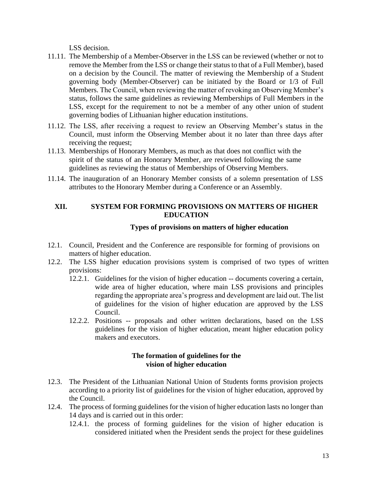LSS decision.

- 11.11. The Membership of a Member-Observer in the LSS can be reviewed (whether or not to remove the Member from the LSS or change their status to that of a Full Member), based on a decision by the Council. The matter of reviewing the Membership of a Student governing body (Member-Observer) can be initiated by the Board or 1/3 of Full Members. The Council, when reviewing the matter of revoking an Observing Member's status, follows the same guidelines as reviewing Memberships of Full Members in the LSS, except for the requirement to not be a member of any other union of student governing bodies of Lithuanian higher education institutions.
- 11.12. The LSS, after receiving a request to review an Observing Member's status in the Council, must inform the Observing Member about it no later than three days after receiving the request;
- 11.13. Memberships of Honorary Members, as much as that does not conflict with the spirit of the status of an Honorary Member, are reviewed following the same guidelines as reviewing the status of Memberships of Observing Members.
- 11.14. The inauguration of an Honorary Member consists of a solemn presentation of LSS attributes to the Honorary Member during a Conference or an Assembly.

### **XII. SYSTEM FOR FORMING PROVISIONS ON MATTERS OF HIGHER EDUCATION**

### **Types of provisions on matters of higher education**

- 12.1. Council, President and the Conference are responsible for forming of provisions on matters of higher education.
- 12.2. The LSS higher education provisions system is comprised of two types of written provisions:
	- 12.2.1. Guidelines for the vision of higher education -- documents covering a certain, wide area of higher education, where main LSS provisions and principles regarding the appropriate area's progress and development are laid out. The list of guidelines for the vision of higher education are approved by the LSS Council.
	- 12.2.2. Positions -- proposals and other written declarations, based on the LSS guidelines for the vision of higher education, meant higher education policy makers and executors.

#### **The formation of guidelines for the vision of higher education**

- 12.3. The President of the Lithuanian National Union of Students forms provision projects according to a priority list of guidelines for the vision of higher education, approved by the Council.
- 12.4. The process of forming guidelines for the vision of higher education lasts no longer than 14 days and is carried out in this order:
	- 12.4.1. the process of forming guidelines for the vision of higher education is considered initiated when the President sends the project for these guidelines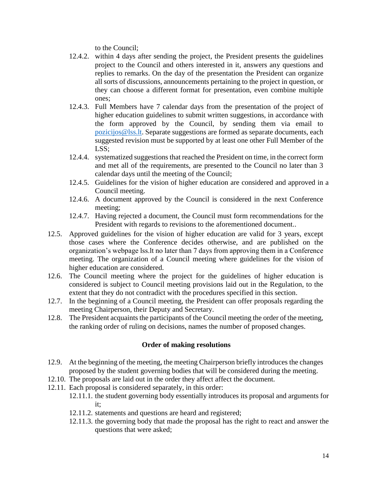to the Council;

- 12.4.2. within 4 days after sending the project, the President presents the guidelines project to the Council and others interested in it, answers any questions and replies to remarks. On the day of the presentation the President can organize all sorts of discussions, announcements pertaining to the project in question, or they can choose a different format for presentation, even combine multiple ones;
- 12.4.3. Full Members have 7 calendar days from the presentation of the project of higher education guidelines to submit written suggestions, in accordance with the form approved by the Council, by sending them via email to [pozicijos@lss.lt.](mailto:pozicijos@lss.lt) Separate suggestions are formed as separate documents, each suggested revision must be supported by at least one other Full Member of the LSS;
- 12.4.4. systematized suggestions that reached the President on time, in the correct form and met all of the requirements, are presented to the Council no later than 3 calendar days until the meeting of the Council;
- 12.4.5. Guidelines for the vision of higher education are considered and approved in a Council meeting.
- 12.4.6. A document approved by the Council is considered in the next Conference meeting;
- 12.4.7. Having rejected a document, the Council must form recommendations for the President with regards to revisions to the aforementioned document..
- 12.5. Approved guidelines for the vision of higher education are valid for 3 years, except those cases where the Conference decides otherwise, and are published on the organization's webpage lss.lt no later than 7 days from approving them in a Conference meeting. The organization of a Council meeting where guidelines for the vision of higher education are considered.
- 12.6. The Council meeting where the project for the guidelines of higher education is considered is subject to Council meeting provisions laid out in the Regulation, to the extent that they do not contradict with the procedures specified in this section.
- 12.7. In the beginning of a Council meeting, the President can offer proposals regarding the meeting Chairperson, their Deputy and Secretary.
- 12.8. The President acquaints the participants of the Council meeting the order of the meeting, the ranking order of ruling on decisions, names the number of proposed changes.

## **Order of making resolutions**

- 12.9. At the beginning of the meeting, the meeting Chairperson briefly introduces the changes proposed by the student governing bodies that will be considered during the meeting.
- 12.10. The proposals are laid out in the order they affect affect the document.
- 12.11. Each proposal is considered separately, in this order:
	- 12.11.1. the student governing body essentially introduces its proposal and arguments for it;
	- 12.11.2. statements and questions are heard and registered;
	- 12.11.3. the governing body that made the proposal has the right to react and answer the questions that were asked;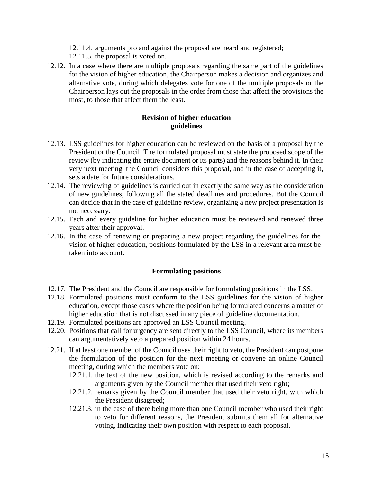- 12.11.4. arguments pro and against the proposal are heard and registered;
- 12.11.5. the proposal is voted on.
- 12.12. In a case where there are multiple proposals regarding the same part of the guidelines for the vision of higher education, the Chairperson makes a decision and organizes and alternative vote, during which delegates vote for one of the multiple proposals or the Chairperson lays out the proposals in the order from those that affect the provisions the most, to those that affect them the least.

### **Revision of higher education guidelines**

- 12.13. LSS guidelines for higher education can be reviewed on the basis of a proposal by the President or the Council. The formulated proposal must state the proposed scope of the review (by indicating the entire document or its parts) and the reasons behind it. In their very next meeting, the Council considers this proposal, and in the case of accepting it, sets a date for future considerations.
- 12.14. The reviewing of guidelines is carried out in exactly the same way as the consideration of new guidelines, following all the stated deadlines and procedures. But the Council can decide that in the case of guideline review, organizing a new project presentation is not necessary.
- 12.15. Each and every guideline for higher education must be reviewed and renewed three years after their approval.
- 12.16. In the case of renewing or preparing a new project regarding the guidelines for the vision of higher education, positions formulated by the LSS in a relevant area must be taken into account.

## **Formulating positions**

- 12.17. The President and the Council are responsible for formulating positions in the LSS.
- 12.18. Formulated positions must conform to the LSS guidelines for the vision of higher education, except those cases where the position being formulated concerns a matter of higher education that is not discussed in any piece of guideline documentation.
- 12.19. Formulated positions are approved an LSS Council meeting.
- 12.20. Positions that call for urgency are sent directly to the LSS Council, where its members can argumentatively veto a prepared position within 24 hours.
- 12.21. If at least one member of the Council uses their right to veto, the President can postpone the formulation of the position for the next meeting or convene an online Council meeting, during which the members vote on:
	- 12.21.1. the text of the new position, which is revised according to the remarks and arguments given by the Council member that used their veto right;
	- 12.21.2. remarks given by the Council member that used their veto right, with which the President disagreed;
	- 12.21.3. in the case of there being more than one Council member who used their right to veto for different reasons, the President submits them all for alternative voting, indicating their own position with respect to each proposal.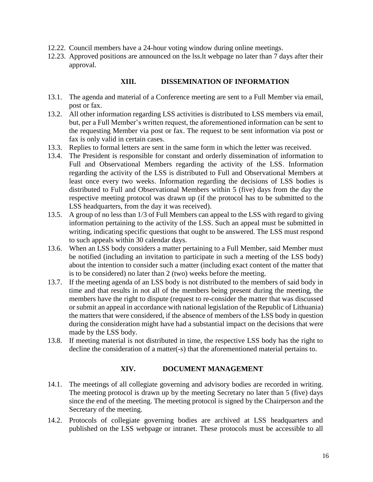- 12.22. Council members have a 24-hour voting window during online meetings.
- 12.23. Approved positions are announced on the lss.lt webpage no later than 7 days after their approval.

#### **XIII. DISSEMINATION OF INFORMATION**

- 13.1. The agenda and material of a Conference meeting are sent to a Full Member via email, post or fax.
- 13.2. All other information regarding LSS activities is distributed to LSS members via email, but, per a Full Member's written request, the aforementioned information can be sent to the requesting Member via post or fax. The request to be sent information via post or fax is only valid in certain cases.
- 13.3. Replies to formal letters are sent in the same form in which the letter was received.
- 13.4. The President is responsible for constant and orderly dissemination of information to Full and Observational Members regarding the activity of the LSS. Information regarding the activity of the LSS is distributed to Full and Observational Members at least once every two weeks. Information regarding the decisions of LSS bodies is distributed to Full and Observational Members within 5 (five) days from the day the respective meeting protocol was drawn up (if the protocol has to be submitted to the LSS headquarters, from the day it was received).
- 13.5. A group of no less than 1/3 of Full Members can appeal to the LSS with regard to giving information pertaining to the activity of the LSS. Such an appeal must be submitted in writing, indicating specific questions that ought to be answered. The LSS must respond to such appeals within 30 calendar days.
- 13.6. When an LSS body considers a matter pertaining to a Full Member, said Member must be notified (including an invitation to participate in such a meeting of the LSS body) about the intention to consider such a matter (including exact content of the matter that is to be considered) no later than 2 (two) weeks before the meeting.
- 13.7. If the meeting agenda of an LSS body is not distributed to the members of said body in time and that results in not all of the members being present during the meeting, the members have the right to dispute (request to re-consider the matter that was discussed or submit an appeal in accordance with national legislation of the Republic of Lithuania) the matters that were considered, if the absence of members of the LSS body in question during the consideration might have had a substantial impact on the decisions that were made by the LSS body.
- 13.8. If meeting material is not distributed in time, the respective LSS body has the right to decline the consideration of a matter(-s) that the aforementioned material pertains to.

#### **XIV. DOCUMENT MANAGEMENT**

- 14.1. The meetings of all collegiate governing and advisory bodies are recorded in writing. The meeting protocol is drawn up by the meeting Secretary no later than 5 (five) days since the end of the meeting. The meeting protocol is signed by the Chairperson and the Secretary of the meeting.
- 14.2. Protocols of collegiate governing bodies are archived at LSS headquarters and published on the LSS webpage or intranet. These protocols must be accessible to all